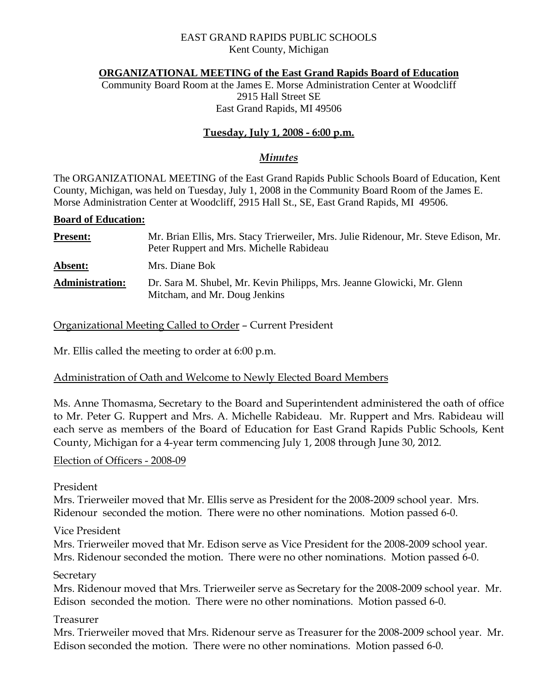### EAST GRAND RAPIDS PUBLIC SCHOOLS Kent County, Michigan

#### **ORGANIZATIONAL MEETING of the East Grand Rapids Board of Education**

Community Board Room at the James E. Morse Administration Center at Woodcliff 2915 Hall Street SE East Grand Rapids, MI 49506

# **Tuesday, July 1, 2008 - 6:00 p.m.**

### *Minutes*

The ORGANIZATIONAL MEETING of the East Grand Rapids Public Schools Board of Education, Kent County, Michigan, was held on Tuesday, July 1, 2008 in the Community Board Room of the James E. Morse Administration Center at Woodcliff, 2915 Hall St., SE, East Grand Rapids, MI 49506.

#### **Board of Education:**

| <b>Present:</b>        | Mr. Brian Ellis, Mrs. Stacy Trierweiler, Mrs. Julie Ridenour, Mr. Steve Edison, Mr.<br>Peter Ruppert and Mrs. Michelle Rabideau |
|------------------------|---------------------------------------------------------------------------------------------------------------------------------|
| Absent:                | Mrs. Diane Bok                                                                                                                  |
| <b>Administration:</b> | Dr. Sara M. Shubel, Mr. Kevin Philipps, Mrs. Jeanne Glowicki, Mr. Glenn<br>Mitcham, and Mr. Doug Jenkins                        |

Organizational Meeting Called to Order – Current President

Mr. Ellis called the meeting to order at 6:00 p.m.

## Administration of Oath and Welcome to Newly Elected Board Members

Ms. Anne Thomasma, Secretary to the Board and Superintendent administered the oath of office to Mr. Peter G. Ruppert and Mrs. A. Michelle Rabideau. Mr. Ruppert and Mrs. Rabideau will each serve as members of the Board of Education for East Grand Rapids Public Schools, Kent County, Michigan for a 4-year term commencing July 1, 2008 through June 30, 2012.

#### Election of Officers - 2008-09

President

Mrs. Trierweiler moved that Mr. Ellis serve as President for the 2008-2009 school year. Mrs. Ridenour seconded the motion. There were no other nominations. Motion passed 6-0.

Vice President

Mrs. Trierweiler moved that Mr. Edison serve as Vice President for the 2008-2009 school year. Mrs. Ridenour seconded the motion. There were no other nominations. Motion passed 6-0.

**Secretary** 

Mrs. Ridenour moved that Mrs. Trierweiler serve as Secretary for the 2008-2009 school year. Mr. Edison seconded the motion. There were no other nominations. Motion passed 6-0.

#### Treasurer

Mrs. Trierweiler moved that Mrs. Ridenour serve as Treasurer for the 2008-2009 school year. Mr. Edison seconded the motion. There were no other nominations. Motion passed 6-0.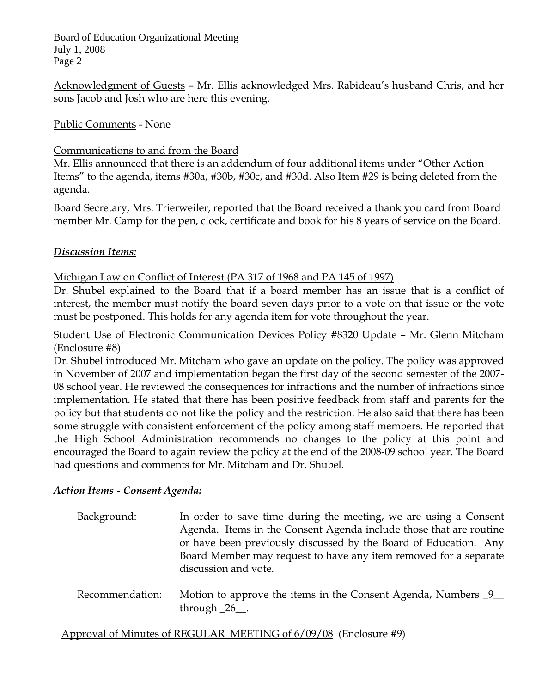Acknowledgment of Guests – Mr. Ellis acknowledged Mrs. Rabideau's husband Chris, and her sons Jacob and Josh who are here this evening.

Public Comments - None

## Communications to and from the Board

Mr. Ellis announced that there is an addendum of four additional items under "Other Action Items" to the agenda, items #30a, #30b, #30c, and #30d. Also Item #29 is being deleted from the agenda.

Board Secretary, Mrs. Trierweiler, reported that the Board received a thank you card from Board member Mr. Camp for the pen, clock, certificate and book for his 8 years of service on the Board.

## *Discussion Items:*

Michigan Law on Conflict of Interest (PA 317 of 1968 and PA 145 of 1997)

Dr. Shubel explained to the Board that if a board member has an issue that is a conflict of interest, the member must notify the board seven days prior to a vote on that issue or the vote must be postponed. This holds for any agenda item for vote throughout the year.

Student Use of Electronic Communication Devices Policy #8320 Update – Mr. Glenn Mitcham (Enclosure #8)

Dr. Shubel introduced Mr. Mitcham who gave an update on the policy. The policy was approved in November of 2007 and implementation began the first day of the second semester of the 2007- 08 school year. He reviewed the consequences for infractions and the number of infractions since implementation. He stated that there has been positive feedback from staff and parents for the policy but that students do not like the policy and the restriction. He also said that there has been some struggle with consistent enforcement of the policy among staff members. He reported that the High School Administration recommends no changes to the policy at this point and encouraged the Board to again review the policy at the end of the 2008-09 school year. The Board had questions and comments for Mr. Mitcham and Dr. Shubel.

# *Action Items - Consent Agenda:*

 Background: In order to save time during the meeting, we are using a Consent Agenda. Items in the Consent Agenda include those that are routine or have been previously discussed by the Board of Education. Any Board Member may request to have any item removed for a separate discussion and vote.

Recommendation: Motion to approve the items in the Consent Agenda, Numbers 9 through  $26$ .

Approval of Minutes of REGULAR MEETING of 6/09/08 (Enclosure #9)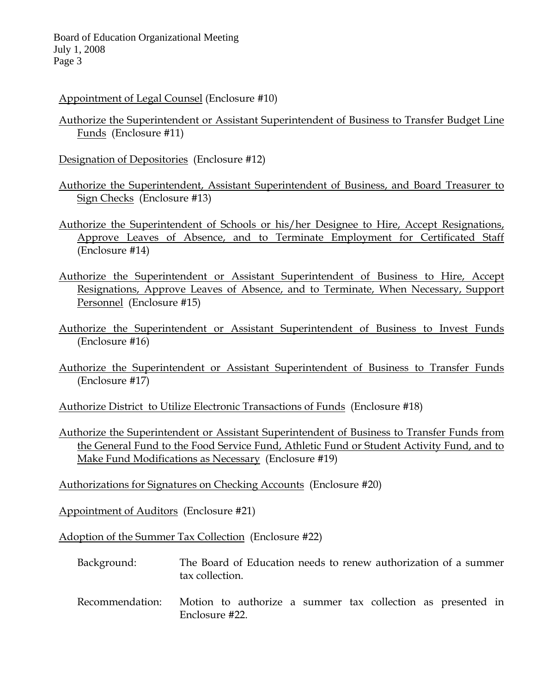## Appointment of Legal Counsel (Enclosure #10)

- Authorize the Superintendent or Assistant Superintendent of Business to Transfer Budget Line Funds (Enclosure #11)
- Designation of Depositories (Enclosure #12)
- Authorize the Superintendent, Assistant Superintendent of Business, and Board Treasurer to Sign Checks (Enclosure #13)
- Authorize the Superintendent of Schools or his/her Designee to Hire, Accept Resignations, Approve Leaves of Absence, and to Terminate Employment for Certificated Staff (Enclosure #14)
- Authorize the Superintendent or Assistant Superintendent of Business to Hire, Accept Resignations, Approve Leaves of Absence, and to Terminate, When Necessary, Support Personnel (Enclosure #15)
- Authorize the Superintendent or Assistant Superintendent of Business to Invest Funds (Enclosure #16)
- Authorize the Superintendent or Assistant Superintendent of Business to Transfer Funds (Enclosure #17)
- Authorize District to Utilize Electronic Transactions of Funds (Enclosure #18)
- Authorize the Superintendent or Assistant Superintendent of Business to Transfer Funds from the General Fund to the Food Service Fund, Athletic Fund or Student Activity Fund, and to Make Fund Modifications as Necessary (Enclosure #19)
- Authorizations for Signatures on Checking Accounts (Enclosure #20)

Appointment of Auditors (Enclosure #21)

Adoption of the Summer Tax Collection (Enclosure #22)

- Background: The Board of Education needs to renew authorization of a summer tax collection.
- Recommendation: Motion to authorize a summer tax collection as presented in Enclosure #22.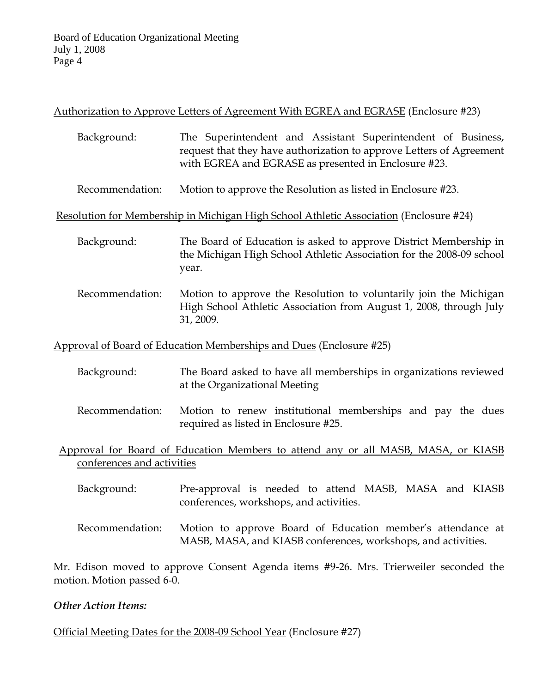# Authorization to Approve Letters of Agreement With EGREA and EGRASE (Enclosure #23)

- Background: The Superintendent and Assistant Superintendent of Business, request that they have authorization to approve Letters of Agreement with EGREA and EGRASE as presented in Enclosure #23.
- Recommendation: Motion to approve the Resolution as listed in Enclosure #23.

Resolution for Membership in Michigan High School Athletic Association (Enclosure #24)

- Background: The Board of Education is asked to approve District Membership in the Michigan High School Athletic Association for the 2008-09 school year.
- Recommendation: Motion to approve the Resolution to voluntarily join the Michigan High School Athletic Association from August 1, 2008, through July 31, 2009.

Approval of Board of Education Memberships and Dues (Enclosure #25)

- Background: The Board asked to have all memberships in organizations reviewed at the Organizational Meeting
- Recommendation: Motion to renew institutional memberships and pay the dues required as listed in Enclosure #25.

 Approval for Board of Education Members to attend any or all MASB, MASA, or KIASB conferences and activities

- Background: Pre-approval is needed to attend MASB, MASA and KIASB conferences, workshops, and activities.
- Recommendation: Motion to approve Board of Education member's attendance at MASB, MASA, and KIASB conferences, workshops, and activities.

Mr. Edison moved to approve Consent Agenda items #9-26. Mrs. Trierweiler seconded the motion. Motion passed 6-0.

## *Other Action Items:*

Official Meeting Dates for the 2008-09 School Year (Enclosure #27)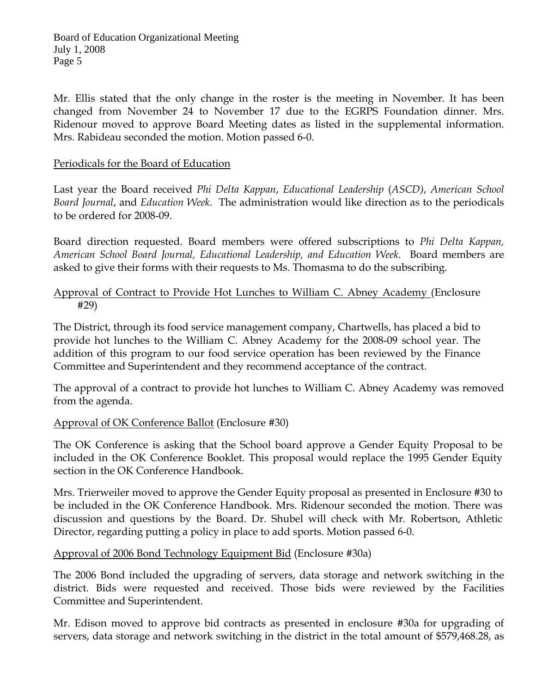Mr. Ellis stated that the only change in the roster is the meeting in November. It has been changed from November 24 to November 17 due to the EGRPS Foundation dinner. Mrs. Ridenour moved to approve Board Meeting dates as listed in the supplemental information. Mrs. Rabideau seconded the motion. Motion passed 6-0.

## Periodicals for the Board of Education

Last year the Board received *Phi Delta Kappan*, *Educational Leadership* (*ASCD)*, *American School Board Journal*, and *Education Week*. The administration would like direction as to the periodicals to be ordered for 2008-09.

Board direction requested. Board members were offered subscriptions to *Phi Delta Kappan, American School Board Journal, Educational Leadership, and Education Week.* Board members are asked to give their forms with their requests to Ms. Thomasma to do the subscribing.

## Approval of Contract to Provide Hot Lunches to William C. Abney Academy (Enclosure #29)

The District, through its food service management company, Chartwells, has placed a bid to provide hot lunches to the William C. Abney Academy for the 2008-09 school year. The addition of this program to our food service operation has been reviewed by the Finance Committee and Superintendent and they recommend acceptance of the contract.

The approval of a contract to provide hot lunches to William C. Abney Academy was removed from the agenda.

# Approval of OK Conference Ballot (Enclosure #30)

The OK Conference is asking that the School board approve a Gender Equity Proposal to be included in the OK Conference Booklet. This proposal would replace the 1995 Gender Equity section in the OK Conference Handbook.

Mrs. Trierweiler moved to approve the Gender Equity proposal as presented in Enclosure #30 to be included in the OK Conference Handbook. Mrs. Ridenour seconded the motion. There was discussion and questions by the Board. Dr. Shubel will check with Mr. Robertson, Athletic Director, regarding putting a policy in place to add sports. Motion passed 6-0.

## Approval of 2006 Bond Technology Equipment Bid (Enclosure #30a)

The 2006 Bond included the upgrading of servers, data storage and network switching in the district. Bids were requested and received. Those bids were reviewed by the Facilities Committee and Superintendent.

Mr. Edison moved to approve bid contracts as presented in enclosure #30a for upgrading of servers, data storage and network switching in the district in the total amount of \$579,468.28, as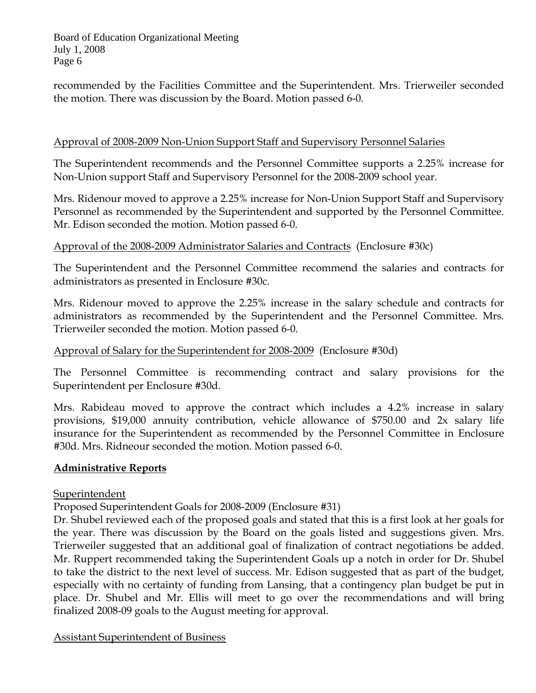recommended by the Facilities Committee and the Superintendent. Mrs. Trierweiler seconded the motion. There was discussion by the Board. Motion passed 6-0.

## Approval of 2008-2009 Non-Union Support Staff and Supervisory Personnel Salaries

The Superintendent recommends and the Personnel Committee supports a 2.25% increase for Non-Union support Staff and Supervisory Personnel for the 2008-2009 school year.

Mrs. Ridenour moved to approve a 2.25% increase for Non-Union Support Staff and Supervisory Personnel as recommended by the Superintendent and supported by the Personnel Committee. Mr. Edison seconded the motion. Motion passed 6-0.

## Approval of the 2008-2009 Administrator Salaries and Contracts (Enclosure #30c)

The Superintendent and the Personnel Committee recommend the salaries and contracts for administrators as presented in Enclosure #30c.

Mrs. Ridenour moved to approve the 2.25% increase in the salary schedule and contracts for administrators as recommended by the Superintendent and the Personnel Committee. Mrs. Trierweiler seconded the motion. Motion passed 6-0.

## Approval of Salary for the Superintendent for 2008-2009 (Enclosure #30d)

The Personnel Committee is recommending contract and salary provisions for the Superintendent per Enclosure #30d.

Mrs. Rabideau moved to approve the contract which includes a 4.2% increase in salary provisions, \$19,000 annuity contribution, vehicle allowance of \$750.00 and 2x salary life insurance for the Superintendent as recommended by the Personnel Committee in Enclosure #30d. Mrs. Ridneour seconded the motion. Motion passed 6-0.

## **Administrative Reports**

## Superintendent

Proposed Superintendent Goals for 2008-2009 (Enclosure #31)

Dr. Shubel reviewed each of the proposed goals and stated that this is a first look at her goals for the year. There was discussion by the Board on the goals listed and suggestions given. Mrs. Trierweiler suggested that an additional goal of finalization of contract negotiations be added. Mr. Ruppert recommended taking the Superintendent Goals up a notch in order for Dr. Shubel to take the district to the next level of success. Mr. Edison suggested that as part of the budget, especially with no certainty of funding from Lansing, that a contingency plan budget be put in place. Dr. Shubel and Mr. Ellis will meet to go over the recommendations and will bring finalized 2008-09 goals to the August meeting for approval.

Assistant Superintendent of Business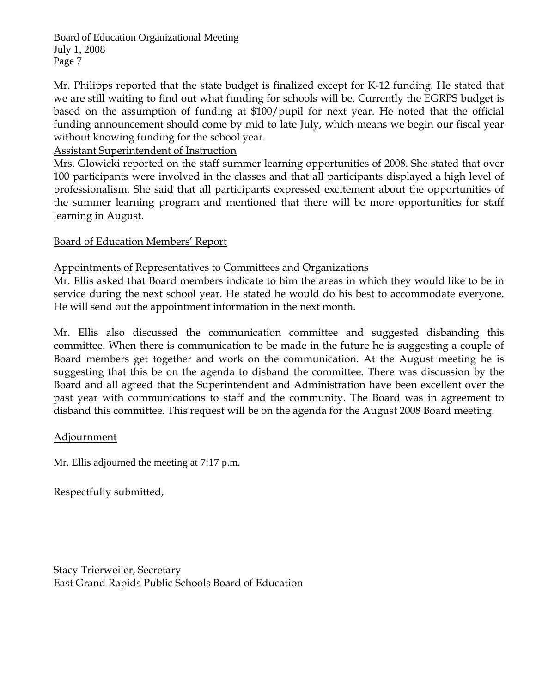Mr. Philipps reported that the state budget is finalized except for K-12 funding. He stated that we are still waiting to find out what funding for schools will be. Currently the EGRPS budget is based on the assumption of funding at \$100/pupil for next year. He noted that the official funding announcement should come by mid to late July, which means we begin our fiscal year without knowing funding for the school year.

Assistant Superintendent of Instruction

Mrs. Glowicki reported on the staff summer learning opportunities of 2008. She stated that over 100 participants were involved in the classes and that all participants displayed a high level of professionalism. She said that all participants expressed excitement about the opportunities of the summer learning program and mentioned that there will be more opportunities for staff learning in August.

# Board of Education Members' Report

Appointments of Representatives to Committees and Organizations

Mr. Ellis asked that Board members indicate to him the areas in which they would like to be in service during the next school year. He stated he would do his best to accommodate everyone. He will send out the appointment information in the next month.

Mr. Ellis also discussed the communication committee and suggested disbanding this committee. When there is communication to be made in the future he is suggesting a couple of Board members get together and work on the communication. At the August meeting he is suggesting that this be on the agenda to disband the committee. There was discussion by the Board and all agreed that the Superintendent and Administration have been excellent over the past year with communications to staff and the community. The Board was in agreement to disband this committee. This request will be on the agenda for the August 2008 Board meeting.

# Adjournment

Mr. Ellis adjourned the meeting at 7:17 p.m.

Respectfully submitted,

Stacy Trierweiler, Secretary East Grand Rapids Public Schools Board of Education